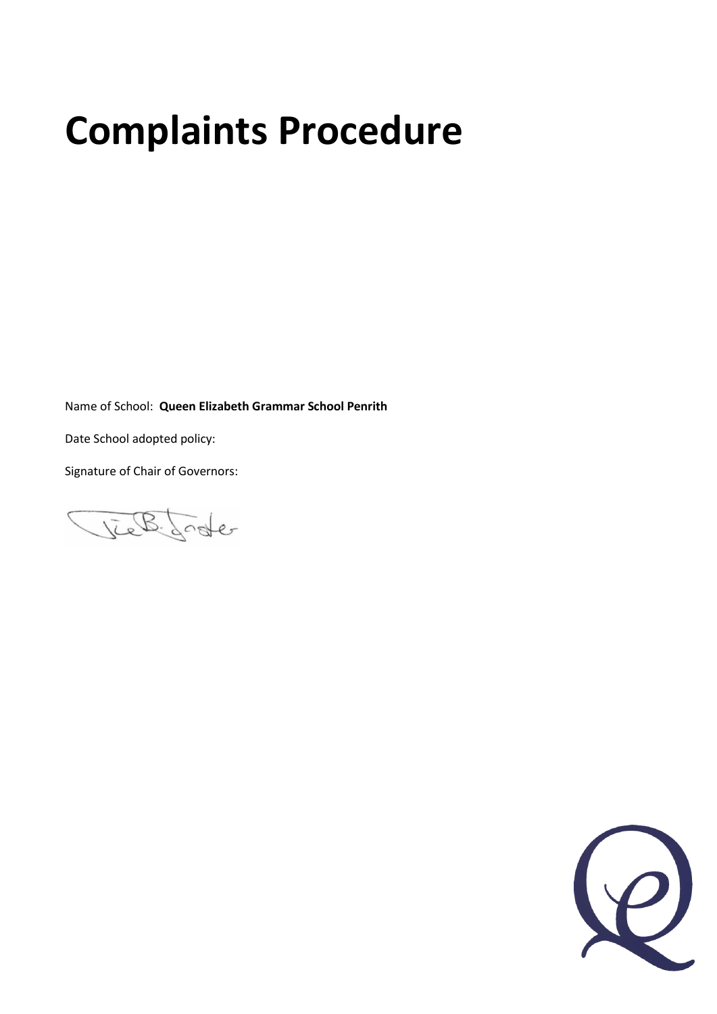# **Complaints Procedure**

Name of School: **Queen Elizabeth Grammar School Penrith**

Date School adopted policy:

Signature of Chair of Governors:

lieb footer

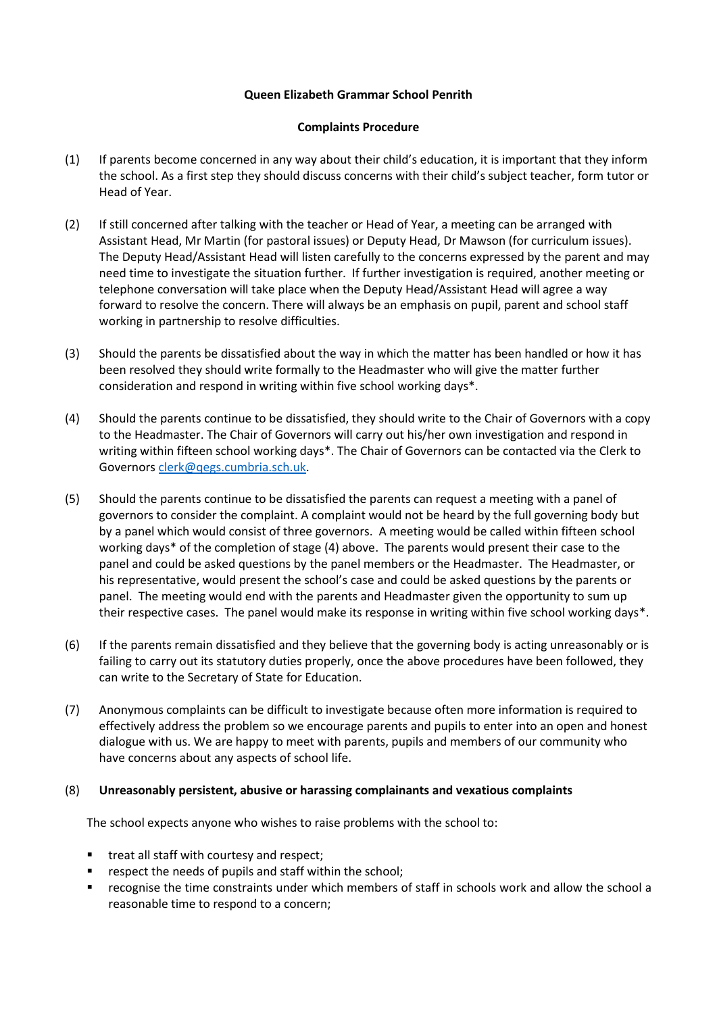## **Queen Elizabeth Grammar School Penrith**

### **Complaints Procedure**

- (1) If parents become concerned in any way about their child's education, it is important that they inform the school. As a first step they should discuss concerns with their child's subject teacher, form tutor or Head of Year.
- (2) If still concerned after talking with the teacher or Head of Year, a meeting can be arranged with Assistant Head, Mr Martin (for pastoral issues) or Deputy Head, Dr Mawson (for curriculum issues). The Deputy Head/Assistant Head will listen carefully to the concerns expressed by the parent and may need time to investigate the situation further. If further investigation is required, another meeting or telephone conversation will take place when the Deputy Head/Assistant Head will agree a way forward to resolve the concern. There will always be an emphasis on pupil, parent and school staff working in partnership to resolve difficulties.
- (3) Should the parents be dissatisfied about the way in which the matter has been handled or how it has been resolved they should write formally to the Headmaster who will give the matter further consideration and respond in writing within five school working days\*.
- (4) Should the parents continue to be dissatisfied, they should write to the Chair of Governors with a copy to the Headmaster. The Chair of Governors will carry out his/her own investigation and respond in writing within fifteen school working days\*. The Chair of Governors can be contacted via the Clerk to Governor[s clerk@qegs.cumbria.sch.uk.](mailto:clerk@qegs.cumbria.sch.uk)
- (5) Should the parents continue to be dissatisfied the parents can request a meeting with a panel of governors to consider the complaint. A complaint would not be heard by the full governing body but by a panel which would consist of three governors. A meeting would be called within fifteen school working days\* of the completion of stage (4) above. The parents would present their case to the panel and could be asked questions by the panel members or the Headmaster. The Headmaster, or his representative, would present the school's case and could be asked questions by the parents or panel. The meeting would end with the parents and Headmaster given the opportunity to sum up their respective cases. The panel would make its response in writing within five school working days\*.
- (6) If the parents remain dissatisfied and they believe that the governing body is acting unreasonably or is failing to carry out its statutory duties properly, once the above procedures have been followed, they can write to the Secretary of State for Education.
- (7) Anonymous complaints can be difficult to investigate because often more information is required to effectively address the problem so we encourage parents and pupils to enter into an open and honest dialogue with us. We are happy to meet with parents, pupils and members of our community who have concerns about any aspects of school life.

### (8) **Unreasonably persistent, abusive or harassing complainants and vexatious complaints**

The school expects anyone who wishes to raise problems with the school to:

- **treat all staff with courtesy and respect;**
- respect the needs of pupils and staff within the school;
- recognise the time constraints under which members of staff in schools work and allow the school a reasonable time to respond to a concern;